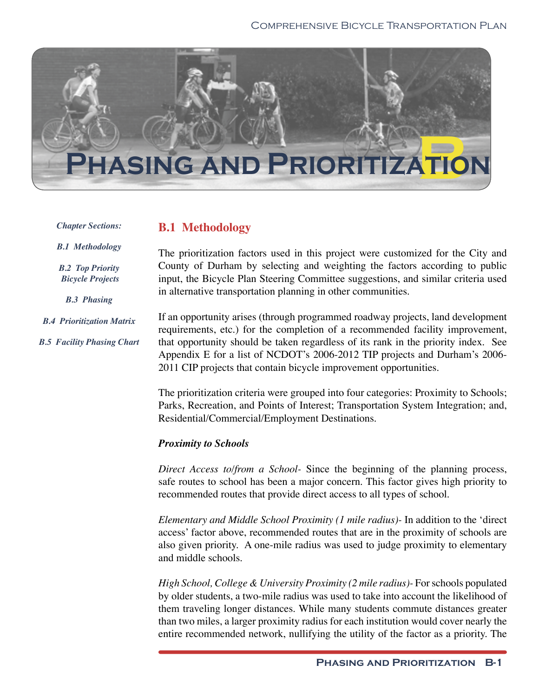

#### *Chapter Sections:*

### **B.1 Methodology**

*B.1 Methodology*

*B.2 Top Priority Bicycle Projects*

*B.3 Phasing*

*B.4 Prioritization Matrix B.5 Facility Phasing Chart*

The prioritization factors used in this project were customized for the City and County of Durham by selecting and weighting the factors according to public input, the Bicycle Plan Steering Committee suggestions, and similar criteria used in alternative transportation planning in other communities.

If an opportunity arises (through programmed roadway projects, land development requirements, etc.) for the completion of a recommended facility improvement, that opportunity should be taken regardless of its rank in the priority index. See Appendix E for a list of NCDOT's 2006-2012 TIP projects and Durham's 2006- 2011 CIP projects that contain bicycle improvement opportunities.

The prioritization criteria were grouped into four categories: Proximity to Schools; Parks, Recreation, and Points of Interest; Transportation System Integration; and, Residential/Commercial/Employment Destinations.

### *Proximity to Schools*

*Direct Access to/from a School-* Since the beginning of the planning process, safe routes to school has been a major concern. This factor gives high priority to recommended routes that provide direct access to all types of school.

*Elementary and Middle School Proximity (1 mile radius)-* In addition to the 'direct access' factor above, recommended routes that are in the proximity of schools are also given priority. A one-mile radius was used to judge proximity to elementary and middle schools.

*High School, College & University Proximity (2 mile radius)-* For schools populated by older students, a two-mile radius was used to take into account the likelihood of them traveling longer distances. While many students commute distances greater than two miles, a larger proximity radius for each institution would cover nearly the entire recommended network, nullifying the utility of the factor as a priority. The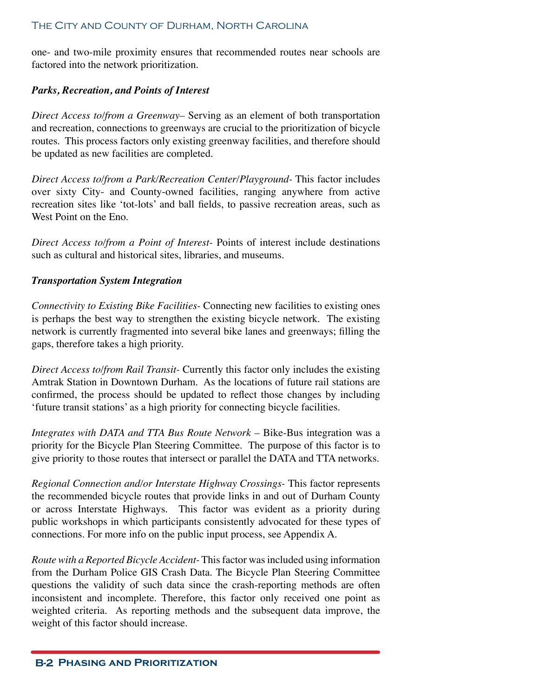one- and two-mile proximity ensures that recommended routes near schools are factored into the network prioritization.

#### *Parks, Recreation, and Points of Interest*

*Direct Access to/from a Greenway–* Serving as an element of both transportation and recreation, connections to greenways are crucial to the prioritization of bicycle routes. This process factors only existing greenway facilities, and therefore should be updated as new facilities are completed.

*Direct Access to/from a Park/Recreation Center/Playground-* This factor includes over sixty City- and County-owned facilities, ranging anywhere from active recreation sites like 'tot-lots' and ball fields, to passive recreation areas, such as West Point on the Eno.

*Direct Access to/from a Point of Interest-* Points of interest include destinations such as cultural and historical sites, libraries, and museums.

#### *Transportation System Integration*

*Connectivity to Existing Bike Facilities-* Connecting new facilities to existing ones is perhaps the best way to strengthen the existing bicycle network. The existing network is currently fragmented into several bike lanes and greenways; filling the gaps, therefore takes a high priority.

*Direct Access to/from Rail Transit-* Currently this factor only includes the existing Amtrak Station in Downtown Durham. As the locations of future rail stations are confirmed, the process should be updated to reflect those changes by including 'future transit stations' as a high priority for connecting bicycle facilities.

*Integrates with DATA and TTA Bus Route Network –* Bike-Bus integration was a priority for the Bicycle Plan Steering Committee. The purpose of this factor is to give priority to those routes that intersect or parallel the DATA and TTA networks.

*Regional Connection and/or Interstate Highway Crossings-* This factor represents the recommended bicycle routes that provide links in and out of Durham County or across Interstate Highways. This factor was evident as a priority during public workshops in which participants consistently advocated for these types of connections. For more info on the public input process, see Appendix A.

*Route with a Reported Bicycle Accident-* This factor was included using information from the Durham Police GIS Crash Data. The Bicycle Plan Steering Committee questions the validity of such data since the crash-reporting methods are often inconsistent and incomplete. Therefore, this factor only received one point as weighted criteria. As reporting methods and the subsequent data improve, the weight of this factor should increase.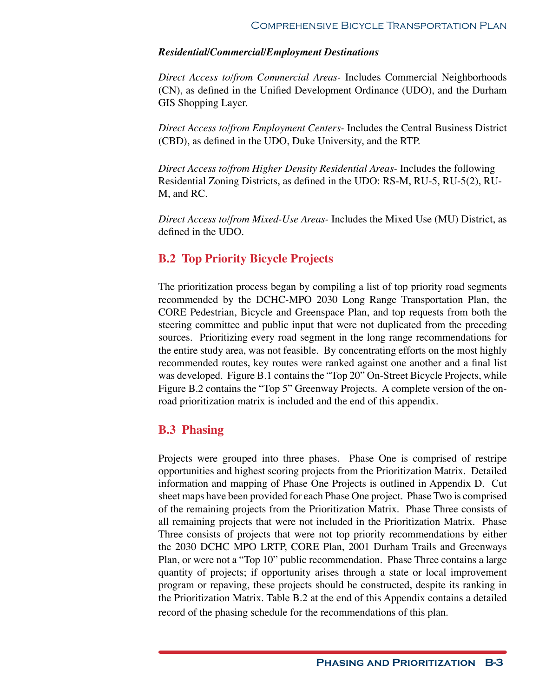#### *Residential/Commercial/Employment Destinations*

*Direct Access to/from Commercial Areas-* Includes Commercial Neighborhoods (CN), as defined in the Unified Development Ordinance (UDO), and the Durham GIS Shopping Layer.

*Direct Access to/from Employment Centers-* Includes the Central Business District (CBD), as defined in the UDO, Duke University, and the RTP.

*Direct Access to/from Higher Density Residential Areas-* Includes the following Residential Zoning Districts, as defined in the UDO: RS-M, RU-5, RU-5(2), RU-M, and RC.

*Direct Access to/from Mixed-Use Areas-* Includes the Mixed Use (MU) District, as defined in the UDO.

### **B.2 Top Priority Bicycle Projects**

The prioritization process began by compiling a list of top priority road segments recommended by the DCHC-MPO 2030 Long Range Transportation Plan, the CORE Pedestrian, Bicycle and Greenspace Plan, and top requests from both the steering committee and public input that were not duplicated from the preceding sources. Prioritizing every road segment in the long range recommendations for the entire study area, was not feasible. By concentrating efforts on the most highly recommended routes, key routes were ranked against one another and a final list was developed. Figure B.1 contains the "Top 20" On-Street Bicycle Projects, while Figure B.2 contains the "Top 5" Greenway Projects. A complete version of the onroad prioritization matrix is included and the end of this appendix.

### **B.3 Phasing**

Projects were grouped into three phases. Phase One is comprised of restripe opportunities and highest scoring projects from the Prioritization Matrix. Detailed information and mapping of Phase One Projects is outlined in Appendix D. Cut sheet maps have been provided for each Phase One project. Phase Two is comprised of the remaining projects from the Prioritization Matrix. Phase Three consists of all remaining projects that were not included in the Prioritization Matrix. Phase Three consists of projects that were not top priority recommendations by either the 2030 DCHC MPO LRTP, CORE Plan, 2001 Durham Trails and Greenways Plan, or were not a "Top 10" public recommendation. Phase Three contains a large quantity of projects; if opportunity arises through a state or local improvement program or repaving, these projects should be constructed, despite its ranking in the Prioritization Matrix. Table B.2 at the end of this Appendix contains a detailed record of the phasing schedule for the recommendations of this plan.